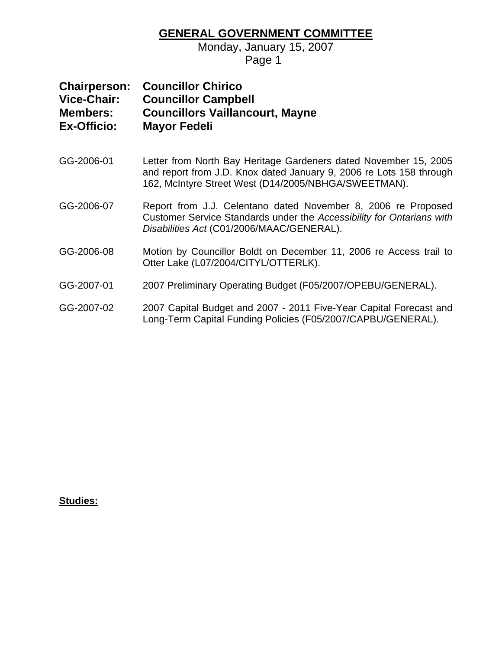### **GENERAL GOVERNMENT COMMITTEE**

Monday, January 15, 2007

Page 1

| <b>Chairperson:</b> | <b>Councillor Chirico</b>              |
|---------------------|----------------------------------------|
| Vice-Chair:         | <b>Councillor Campbell</b>             |
| <b>Members:</b>     | <b>Councillors Vaillancourt, Mayne</b> |
| <b>Ex-Officio:</b>  | <b>Mayor Fedeli</b>                    |

- GG-2006-01 Letter from North Bay Heritage Gardeners dated November 15, 2005 and report from J.D. Knox dated January 9, 2006 re Lots 158 through 162, McIntyre Street West (D14/2005/NBHGA/SWEETMAN).
- GG-2006-07 Report from J.J. Celentano dated November 8, 2006 re Proposed Customer Service Standards under the *Accessibility for Ontarians with Disabilities Act* (C01/2006/MAAC/GENERAL).
- GG-2006-08 Motion by Councillor Boldt on December 11, 2006 re Access trail to Otter Lake (L07/2004/CITYL/OTTERLK).
- GG-2007-01 2007 Preliminary Operating Budget (F05/2007/OPEBU/GENERAL).
- GG-2007-02 2007 Capital Budget and 2007 2011 Five-Year Capital Forecast and Long-Term Capital Funding Policies (F05/2007/CAPBU/GENERAL).

#### **Studies:**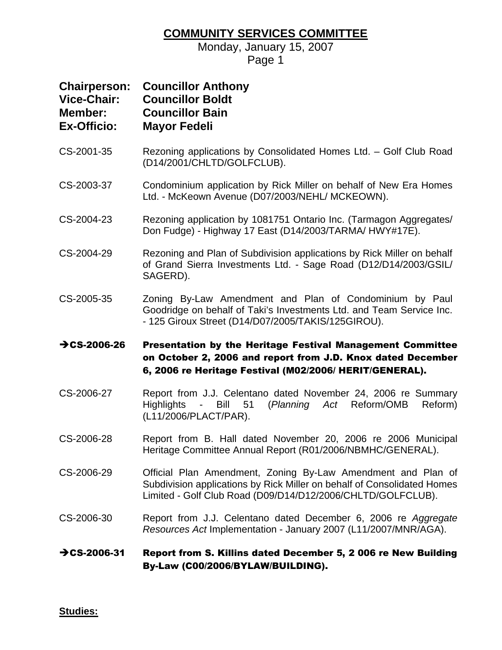### **COMMUNITY SERVICES COMMITTEE**

Monday, January 15, 2007 Page 1

| <b>Chairperson:</b><br><b>Vice-Chair:</b><br>Member:<br><b>Ex-Officio:</b> | <b>Councillor Anthony</b><br><b>Councillor Boldt</b><br><b>Councillor Bain</b><br><b>Mayor Fedeli</b>                                                                                                  |
|----------------------------------------------------------------------------|--------------------------------------------------------------------------------------------------------------------------------------------------------------------------------------------------------|
| CS-2001-35                                                                 | Rezoning applications by Consolidated Homes Ltd. - Golf Club Road<br>(D14/2001/CHLTD/GOLFCLUB).                                                                                                        |
| CS-2003-37                                                                 | Condominium application by Rick Miller on behalf of New Era Homes<br>Ltd. - McKeown Avenue (D07/2003/NEHL/ MCKEOWN).                                                                                   |
| CS-2004-23                                                                 | Rezoning application by 1081751 Ontario Inc. (Tarmagon Aggregates/<br>Don Fudge) - Highway 17 East (D14/2003/TARMA/ HWY#17E).                                                                          |
| CS-2004-29                                                                 | Rezoning and Plan of Subdivision applications by Rick Miller on behalf<br>of Grand Sierra Investments Ltd. - Sage Road (D12/D14/2003/GSIL/<br>SAGERD).                                                 |
| CS-2005-35                                                                 | Zoning By-Law Amendment and Plan of Condominium by Paul<br>Goodridge on behalf of Taki's Investments Ltd. and Team Service Inc.<br>- 125 Giroux Street (D14/D07/2005/TAKIS/125GIROU).                  |
| $\rightarrow$ CS-2006-26                                                   | Presentation by the Heritage Festival Management Committee<br>on October 2, 2006 and report from J.D. Knox dated December<br>6, 2006 re Heritage Festival (M02/2006/ HERIT/GENERAL).                   |
| CS-2006-27                                                                 | Report from J.J. Celentano dated November 24, 2006 re Summary<br>51<br>(Planning Act Reform/OMB<br>Reform)<br><b>Highlights</b><br>Bill<br>$\sim 100$<br>(L11/2006/PLACT/PAR).                         |
| CS-2006-28                                                                 | Report from B. Hall dated November 20, 2006 re 2006 Municipal<br>Heritage Committee Annual Report (R01/2006/NBMHC/GENERAL).                                                                            |
| CS-2006-29                                                                 | Official Plan Amendment, Zoning By-Law Amendment and Plan of<br>Subdivision applications by Rick Miller on behalf of Consolidated Homes<br>Limited - Golf Club Road (D09/D14/D12/2006/CHLTD/GOLFCLUB). |
| CS-2006-30                                                                 | Report from J.J. Celentano dated December 6, 2006 re Aggregate<br>Resources Act Implementation - January 2007 (L11/2007/MNR/AGA).                                                                      |
| $\rightarrow$ CS-2006-31                                                   | Report from S. Killins dated December 5, 2006 re New Building<br>By-Law (C00/2006/BYLAW/BUILDING).                                                                                                     |

**Studies:**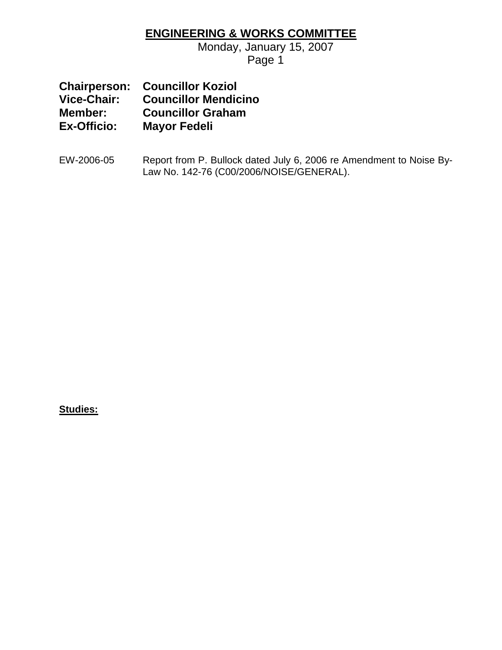### **ENGINEERING & WORKS COMMITTEE**

Monday, January 15, 2007 Page 1

|                    | <b>Chairperson: Councillor Koziol</b> |
|--------------------|---------------------------------------|
| Vice-Chair:        | <b>Councillor Mendicino</b>           |
| Member:            | <b>Councillor Graham</b>              |
| <b>Ex-Officio:</b> | <b>Mayor Fedeli</b>                   |

EW-2006-05 Report from P. Bullock dated July 6, 2006 re Amendment to Noise By-Law No. 142-76 (C00/2006/NOISE/GENERAL).

**Studies:**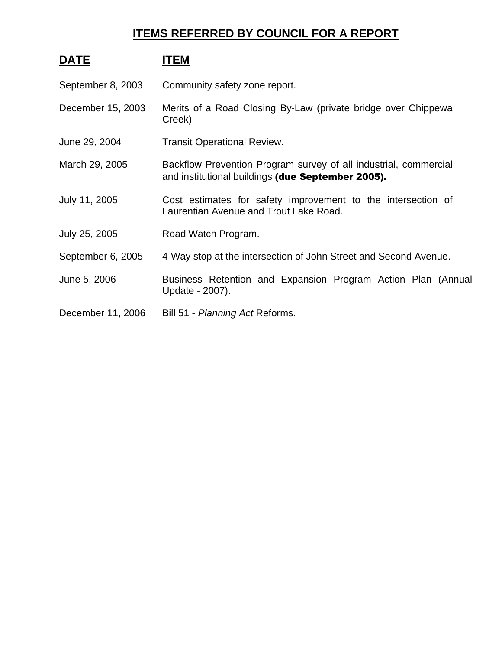### **ITEMS REFERRED BY COUNCIL FOR A REPORT**

| <b>DATE</b>       | ITEM                                                                                                                  |  |  |
|-------------------|-----------------------------------------------------------------------------------------------------------------------|--|--|
| September 8, 2003 | Community safety zone report.                                                                                         |  |  |
| December 15, 2003 | Merits of a Road Closing By-Law (private bridge over Chippewa<br>Creek)                                               |  |  |
| June 29, 2004     | <b>Transit Operational Review.</b>                                                                                    |  |  |
| March 29, 2005    | Backflow Prevention Program survey of all industrial, commercial<br>and institutional buildings (due September 2005). |  |  |
| July 11, 2005     | Cost estimates for safety improvement to the intersection of<br>Laurentian Avenue and Trout Lake Road.                |  |  |
| July 25, 2005     | Road Watch Program.                                                                                                   |  |  |
| September 6, 2005 | 4-Way stop at the intersection of John Street and Second Avenue.                                                      |  |  |
| June 5, 2006      | Business Retention and Expansion Program Action Plan (Annual<br>Update - 2007).                                       |  |  |
| December 11, 2006 | Bill 51 - Planning Act Reforms.                                                                                       |  |  |